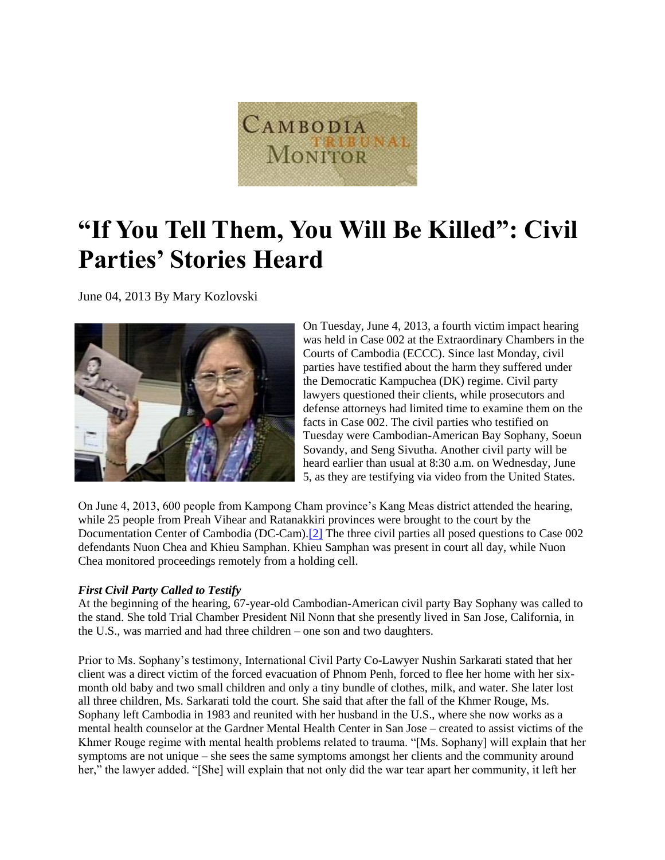

# **"If You Tell Them, You Will Be Killed": Civil Parties' Stories Heard**

June 04, 2013 By Mary Kozlovski



On Tuesday, June 4, 2013, a fourth victim impact hearing was held in Case 002 at the Extraordinary Chambers in the Courts of Cambodia (ECCC). Since last Monday, civil parties have testified about the harm they suffered under the Democratic Kampuchea (DK) regime. Civil party lawyers questioned their clients, while prosecutors and defense attorneys had limited time to examine them on the facts in Case 002. The civil parties who testified on Tuesday were Cambodian-American Bay Sophany, Soeun Sovandy, and Seng Sivutha. Another civil party will be heard earlier than usual at 8:30 a.m. on Wednesday, June 5, as they are testifying via video from the United States.

On June 4, 2013, 600 people from Kampong Cham province's Kang Meas district attended the hearing, while 25 people from Preah Vihear and Ratanakkiri provinces were brought to the court by the Documentation Center of Cambodia (DC-Cam)[.\[2\]](http://www.cambodiatribunal.org/blog/2013/06/%E2%80%9Cif-you-tell-them-you-will-be-killed%E2%80%9D-civil-parties%E2%80%99-stories-heard#_ftn2) The three civil parties all posed questions to Case 002 defendants Nuon Chea and Khieu Samphan. Khieu Samphan was present in court all day, while Nuon Chea monitored proceedings remotely from a holding cell.

# *First Civil Party Called to Testify*

At the beginning of the hearing, 67-year-old Cambodian-American civil party Bay Sophany was called to the stand. She told Trial Chamber President Nil Nonn that she presently lived in San Jose, California, in the U.S., was married and had three children – one son and two daughters.

Prior to Ms. Sophany's testimony, International Civil Party Co-Lawyer Nushin Sarkarati stated that her client was a direct victim of the forced evacuation of Phnom Penh, forced to flee her home with her sixmonth old baby and two small children and only a tiny bundle of clothes, milk, and water. She later lost all three children, Ms. Sarkarati told the court. She said that after the fall of the Khmer Rouge, Ms. Sophany left Cambodia in 1983 and reunited with her husband in the U.S., where she now works as a mental health counselor at the Gardner Mental Health Center in San Jose – created to assist victims of the Khmer Rouge regime with mental health problems related to trauma. "[Ms. Sophany] will explain that her symptoms are not unique – she sees the same symptoms amongst her clients and the community around her," the lawyer added. "[She] will explain that not only did the war tear apart her community, it left her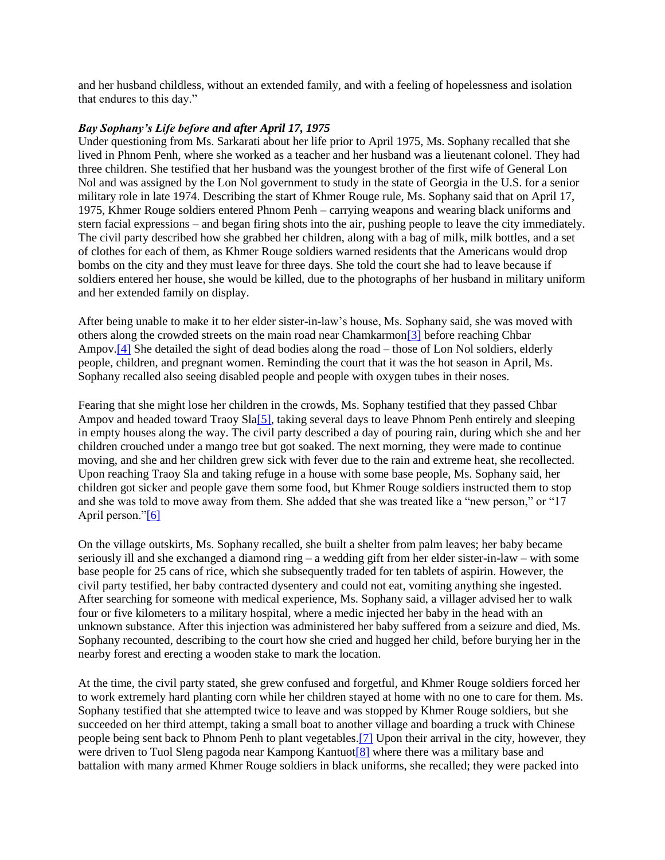and her husband childless, without an extended family, and with a feeling of hopelessness and isolation that endures to this day."

#### *Bay Sophany's Life before and after April 17, 1975*

Under questioning from Ms. Sarkarati about her life prior to April 1975, Ms. Sophany recalled that she lived in Phnom Penh, where she worked as a teacher and her husband was a lieutenant colonel. They had three children. She testified that her husband was the youngest brother of the first wife of General Lon Nol and was assigned by the Lon Nol government to study in the state of Georgia in the U.S. for a senior military role in late 1974. Describing the start of Khmer Rouge rule, Ms. Sophany said that on April 17, 1975, Khmer Rouge soldiers entered Phnom Penh – carrying weapons and wearing black uniforms and stern facial expressions – and began firing shots into the air, pushing people to leave the city immediately. The civil party described how she grabbed her children, along with a bag of milk, milk bottles, and a set of clothes for each of them, as Khmer Rouge soldiers warned residents that the Americans would drop bombs on the city and they must leave for three days. She told the court she had to leave because if soldiers entered her house, she would be killed, due to the photographs of her husband in military uniform and her extended family on display.

After being unable to make it to her elder sister-in-law's house, Ms. Sophany said, she was moved with others along the crowded streets on the main road near Chamkarmo[n\[3\]](http://www.cambodiatribunal.org/blog/2013/06/%E2%80%9Cif-you-tell-them-you-will-be-killed%E2%80%9D-civil-parties%E2%80%99-stories-heard#_ftn3) before reaching Chbar Ampov[.\[4\]](http://www.cambodiatribunal.org/blog/2013/06/%E2%80%9Cif-you-tell-them-you-will-be-killed%E2%80%9D-civil-parties%E2%80%99-stories-heard#_ftn4) She detailed the sight of dead bodies along the road – those of Lon Nol soldiers, elderly people, children, and pregnant women. Reminding the court that it was the hot season in April, Ms. Sophany recalled also seeing disabled people and people with oxygen tubes in their noses.

Fearing that she might lose her children in the crowds, Ms. Sophany testified that they passed Chbar Ampov and headed toward Traoy Sl[a\[5\],](http://www.cambodiatribunal.org/blog/2013/06/%E2%80%9Cif-you-tell-them-you-will-be-killed%E2%80%9D-civil-parties%E2%80%99-stories-heard#_ftn5) taking several days to leave Phnom Penh entirely and sleeping in empty houses along the way. The civil party described a day of pouring rain, during which she and her children crouched under a mango tree but got soaked. The next morning, they were made to continue moving, and she and her children grew sick with fever due to the rain and extreme heat, she recollected. Upon reaching Traoy Sla and taking refuge in a house with some base people, Ms. Sophany said, her children got sicker and people gave them some food, but Khmer Rouge soldiers instructed them to stop and she was told to move away from them. She added that she was treated like a "new person," or "17 April person."<sup>[6]</sup>

On the village outskirts, Ms. Sophany recalled, she built a shelter from palm leaves; her baby became seriously ill and she exchanged a diamond ring – a wedding gift from her elder sister-in-law – with some base people for 25 cans of rice, which she subsequently traded for ten tablets of aspirin. However, the civil party testified, her baby contracted dysentery and could not eat, vomiting anything she ingested. After searching for someone with medical experience, Ms. Sophany said, a villager advised her to walk four or five kilometers to a military hospital, where a medic injected her baby in the head with an unknown substance. After this injection was administered her baby suffered from a seizure and died, Ms. Sophany recounted, describing to the court how she cried and hugged her child, before burying her in the nearby forest and erecting a wooden stake to mark the location.

At the time, the civil party stated, she grew confused and forgetful, and Khmer Rouge soldiers forced her to work extremely hard planting corn while her children stayed at home with no one to care for them. Ms. Sophany testified that she attempted twice to leave and was stopped by Khmer Rouge soldiers, but she succeeded on her third attempt, taking a small boat to another village and boarding a truck with Chinese people being sent back to Phnom Penh to plant vegetables[.\[7\]](http://www.cambodiatribunal.org/blog/2013/06/%E2%80%9Cif-you-tell-them-you-will-be-killed%E2%80%9D-civil-parties%E2%80%99-stories-heard#_ftn7) Upon their arrival in the city, however, they were driven to Tuol Sleng pagoda near Kampong Kantuo[t\[8\]](http://www.cambodiatribunal.org/blog/2013/06/%E2%80%9Cif-you-tell-them-you-will-be-killed%E2%80%9D-civil-parties%E2%80%99-stories-heard#_ftn8) where there was a military base and battalion with many armed Khmer Rouge soldiers in black uniforms, she recalled; they were packed into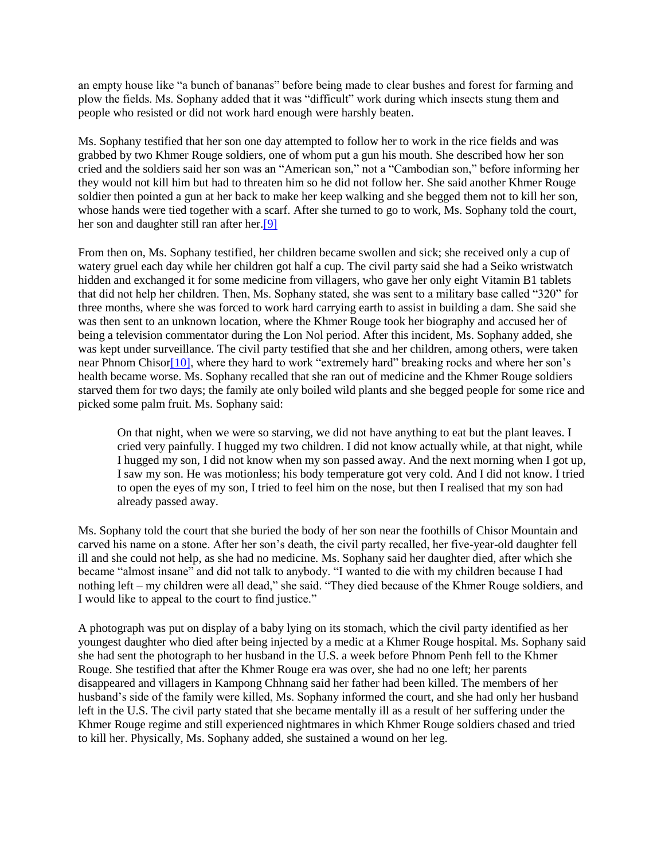an empty house like "a bunch of bananas" before being made to clear bushes and forest for farming and plow the fields. Ms. Sophany added that it was "difficult" work during which insects stung them and people who resisted or did not work hard enough were harshly beaten.

Ms. Sophany testified that her son one day attempted to follow her to work in the rice fields and was grabbed by two Khmer Rouge soldiers, one of whom put a gun his mouth. She described how her son cried and the soldiers said her son was an "American son," not a "Cambodian son," before informing her they would not kill him but had to threaten him so he did not follow her. She said another Khmer Rouge soldier then pointed a gun at her back to make her keep walking and she begged them not to kill her son, whose hands were tied together with a scarf. After she turned to go to work, Ms. Sophany told the court, her son and daughter still ran after her[.\[9\]](http://www.cambodiatribunal.org/blog/2013/06/%E2%80%9Cif-you-tell-them-you-will-be-killed%E2%80%9D-civil-parties%E2%80%99-stories-heard#_ftn9)

From then on, Ms. Sophany testified, her children became swollen and sick; she received only a cup of watery gruel each day while her children got half a cup. The civil party said she had a Seiko wristwatch hidden and exchanged it for some medicine from villagers, who gave her only eight Vitamin B1 tablets that did not help her children. Then, Ms. Sophany stated, she was sent to a military base called "320" for three months, where she was forced to work hard carrying earth to assist in building a dam. She said she was then sent to an unknown location, where the Khmer Rouge took her biography and accused her of being a television commentator during the Lon Nol period. After this incident, Ms. Sophany added, she was kept under surveillance. The civil party testified that she and her children, among others, were taken near Phnom Chisor<sup>[10]</sup>, where they hard to work "extremely hard" breaking rocks and where her son's health became worse. Ms. Sophany recalled that she ran out of medicine and the Khmer Rouge soldiers starved them for two days; the family ate only boiled wild plants and she begged people for some rice and picked some palm fruit. Ms. Sophany said:

On that night, when we were so starving, we did not have anything to eat but the plant leaves. I cried very painfully. I hugged my two children. I did not know actually while, at that night, while I hugged my son, I did not know when my son passed away. And the next morning when I got up, I saw my son. He was motionless; his body temperature got very cold. And I did not know. I tried to open the eyes of my son, I tried to feel him on the nose, but then I realised that my son had already passed away.

Ms. Sophany told the court that she buried the body of her son near the foothills of Chisor Mountain and carved his name on a stone. After her son's death, the civil party recalled, her five-year-old daughter fell ill and she could not help, as she had no medicine. Ms. Sophany said her daughter died, after which she became "almost insane" and did not talk to anybody. "I wanted to die with my children because I had nothing left – my children were all dead," she said. "They died because of the Khmer Rouge soldiers, and I would like to appeal to the court to find justice."

A photograph was put on display of a baby lying on its stomach, which the civil party identified as her youngest daughter who died after being injected by a medic at a Khmer Rouge hospital. Ms. Sophany said she had sent the photograph to her husband in the U.S. a week before Phnom Penh fell to the Khmer Rouge. She testified that after the Khmer Rouge era was over, she had no one left; her parents disappeared and villagers in Kampong Chhnang said her father had been killed. The members of her husband's side of the family were killed, Ms. Sophany informed the court, and she had only her husband left in the U.S. The civil party stated that she became mentally ill as a result of her suffering under the Khmer Rouge regime and still experienced nightmares in which Khmer Rouge soldiers chased and tried to kill her. Physically, Ms. Sophany added, she sustained a wound on her leg.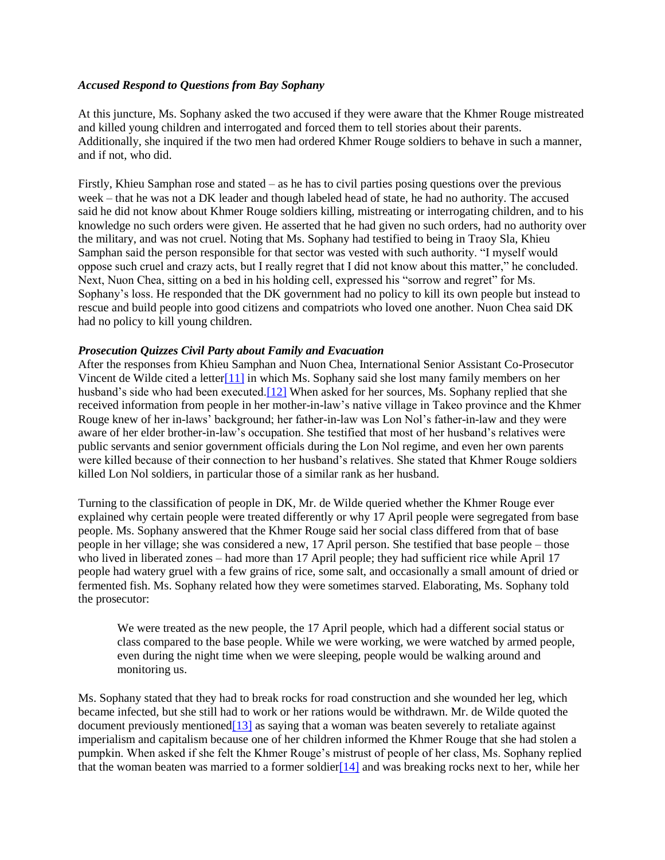#### *Accused Respond to Questions from Bay Sophany*

At this juncture, Ms. Sophany asked the two accused if they were aware that the Khmer Rouge mistreated and killed young children and interrogated and forced them to tell stories about their parents. Additionally, she inquired if the two men had ordered Khmer Rouge soldiers to behave in such a manner, and if not, who did.

Firstly, Khieu Samphan rose and stated – as he has to civil parties posing questions over the previous week – that he was not a DK leader and though labeled head of state, he had no authority. The accused said he did not know about Khmer Rouge soldiers killing, mistreating or interrogating children, and to his knowledge no such orders were given. He asserted that he had given no such orders, had no authority over the military, and was not cruel. Noting that Ms. Sophany had testified to being in Traoy Sla, Khieu Samphan said the person responsible for that sector was vested with such authority. "I myself would oppose such cruel and crazy acts, but I really regret that I did not know about this matter," he concluded. Next, Nuon Chea, sitting on a bed in his holding cell, expressed his "sorrow and regret" for Ms. Sophany's loss. He responded that the DK government had no policy to kill its own people but instead to rescue and build people into good citizens and compatriots who loved one another. Nuon Chea said DK had no policy to kill young children.

#### *Prosecution Quizzes Civil Party about Family and Evacuation*

After the responses from Khieu Samphan and Nuon Chea, International Senior Assistant Co-Prosecutor Vincent de Wilde cited a lette[r\[11\]](http://www.cambodiatribunal.org/blog/2013/06/%E2%80%9Cif-you-tell-them-you-will-be-killed%E2%80%9D-civil-parties%E2%80%99-stories-heard#_ftn11) in which Ms. Sophany said she lost many family members on her husband's side who had been executed[.\[12\]](http://www.cambodiatribunal.org/blog/2013/06/%E2%80%9Cif-you-tell-them-you-will-be-killed%E2%80%9D-civil-parties%E2%80%99-stories-heard#_ftn12) When asked for her sources, Ms. Sophany replied that she received information from people in her mother-in-law's native village in Takeo province and the Khmer Rouge knew of her in-laws' background; her father-in-law was Lon Nol's father-in-law and they were aware of her elder brother-in-law's occupation. She testified that most of her husband's relatives were public servants and senior government officials during the Lon Nol regime, and even her own parents were killed because of their connection to her husband's relatives. She stated that Khmer Rouge soldiers killed Lon Nol soldiers, in particular those of a similar rank as her husband.

Turning to the classification of people in DK, Mr. de Wilde queried whether the Khmer Rouge ever explained why certain people were treated differently or why 17 April people were segregated from base people. Ms. Sophany answered that the Khmer Rouge said her social class differed from that of base people in her village; she was considered a new, 17 April person. She testified that base people – those who lived in liberated zones – had more than 17 April people; they had sufficient rice while April 17 people had watery gruel with a few grains of rice, some salt, and occasionally a small amount of dried or fermented fish. Ms. Sophany related how they were sometimes starved. Elaborating, Ms. Sophany told the prosecutor:

We were treated as the new people, the 17 April people, which had a different social status or class compared to the base people. While we were working, we were watched by armed people, even during the night time when we were sleeping, people would be walking around and monitoring us.

Ms. Sophany stated that they had to break rocks for road construction and she wounded her leg, which became infected, but she still had to work or her rations would be withdrawn. Mr. de Wilde quoted the document previously mentioned  $[13]$  as saying that a woman was beaten severely to retaliate against imperialism and capitalism because one of her children informed the Khmer Rouge that she had stolen a pumpkin. When asked if she felt the Khmer Rouge's mistrust of people of her class, Ms. Sophany replied that the woman beaten was married to a former soldier $[14]$  and was breaking rocks next to her, while her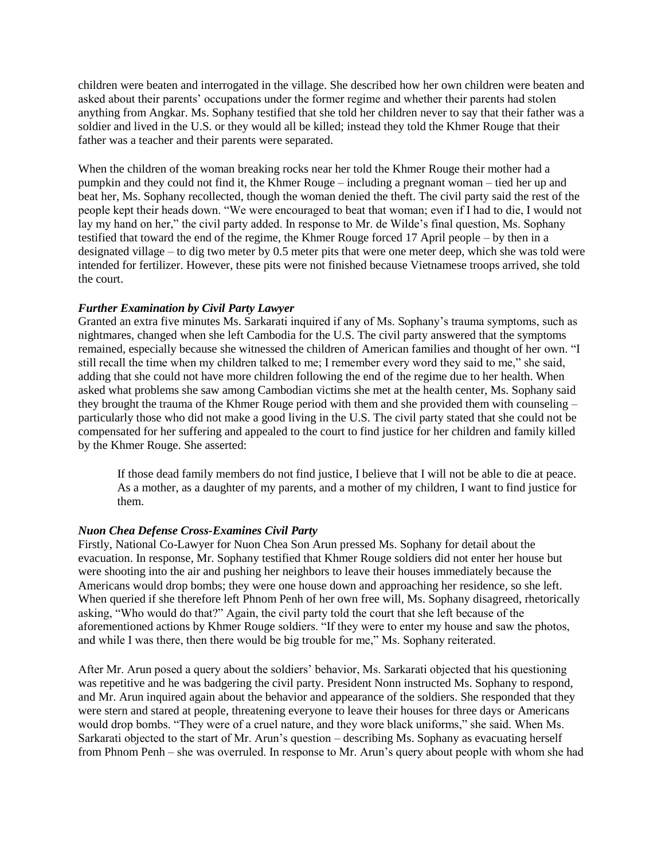children were beaten and interrogated in the village. She described how her own children were beaten and asked about their parents' occupations under the former regime and whether their parents had stolen anything from Angkar. Ms. Sophany testified that she told her children never to say that their father was a soldier and lived in the U.S. or they would all be killed; instead they told the Khmer Rouge that their father was a teacher and their parents were separated.

When the children of the woman breaking rocks near her told the Khmer Rouge their mother had a pumpkin and they could not find it, the Khmer Rouge – including a pregnant woman – tied her up and beat her, Ms. Sophany recollected, though the woman denied the theft. The civil party said the rest of the people kept their heads down. "We were encouraged to beat that woman; even if I had to die, I would not lay my hand on her," the civil party added. In response to Mr. de Wilde's final question, Ms. Sophany testified that toward the end of the regime, the Khmer Rouge forced 17 April people – by then in a designated village – to dig two meter by 0.5 meter pits that were one meter deep, which she was told were intended for fertilizer. However, these pits were not finished because Vietnamese troops arrived, she told the court.

## *Further Examination by Civil Party Lawyer*

Granted an extra five minutes Ms. Sarkarati inquired if any of Ms. Sophany's trauma symptoms, such as nightmares, changed when she left Cambodia for the U.S. The civil party answered that the symptoms remained, especially because she witnessed the children of American families and thought of her own. "I still recall the time when my children talked to me; I remember every word they said to me," she said, adding that she could not have more children following the end of the regime due to her health. When asked what problems she saw among Cambodian victims she met at the health center, Ms. Sophany said they brought the trauma of the Khmer Rouge period with them and she provided them with counseling – particularly those who did not make a good living in the U.S. The civil party stated that she could not be compensated for her suffering and appealed to the court to find justice for her children and family killed by the Khmer Rouge. She asserted:

If those dead family members do not find justice, I believe that I will not be able to die at peace. As a mother, as a daughter of my parents, and a mother of my children, I want to find justice for them.

## *Nuon Chea Defense Cross-Examines Civil Party*

Firstly, National Co-Lawyer for Nuon Chea Son Arun pressed Ms. Sophany for detail about the evacuation. In response, Mr. Sophany testified that Khmer Rouge soldiers did not enter her house but were shooting into the air and pushing her neighbors to leave their houses immediately because the Americans would drop bombs; they were one house down and approaching her residence, so she left. When queried if she therefore left Phnom Penh of her own free will, Ms. Sophany disagreed, rhetorically asking, "Who would do that?" Again, the civil party told the court that she left because of the aforementioned actions by Khmer Rouge soldiers. "If they were to enter my house and saw the photos, and while I was there, then there would be big trouble for me," Ms. Sophany reiterated.

After Mr. Arun posed a query about the soldiers' behavior, Ms. Sarkarati objected that his questioning was repetitive and he was badgering the civil party. President Nonn instructed Ms. Sophany to respond, and Mr. Arun inquired again about the behavior and appearance of the soldiers. She responded that they were stern and stared at people, threatening everyone to leave their houses for three days or Americans would drop bombs. "They were of a cruel nature, and they wore black uniforms," she said. When Ms. Sarkarati objected to the start of Mr. Arun's question – describing Ms. Sophany as evacuating herself from Phnom Penh – she was overruled. In response to Mr. Arun's query about people with whom she had